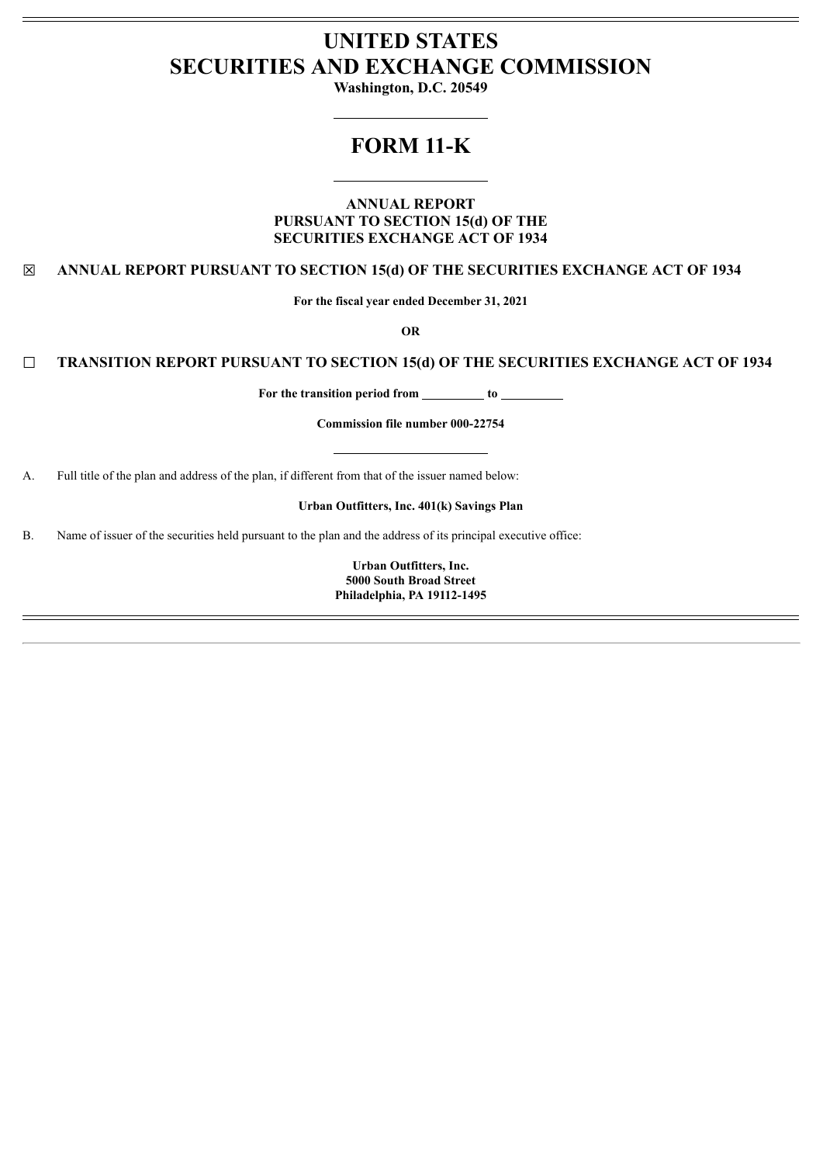# **UNITED STATES SECURITIES AND EXCHANGE COMMISSION**

**Washington, D.C. 20549**

# **FORM 11-K**

# **ANNUAL REPORT PURSUANT TO SECTION 15(d) OF THE SECURITIES EXCHANGE ACT OF 1934**

# ☒ **ANNUAL REPORT PURSUANT TO SECTION 15(d) OF THE SECURITIES EXCHANGE ACT OF 1934**

**For the fiscal year ended December 31, 2021**

**OR**

# ☐ **TRANSITION REPORT PURSUANT TO SECTION 15(d) OF THE SECURITIES EXCHANGE ACT OF 1934**

**For the transition period from to**

**Commission file number 000-22754**

A. Full title of the plan and address of the plan, if different from that of the issuer named below:

**Urban Outfitters, Inc. 401(k) Savings Plan**

B. Name of issuer of the securities held pursuant to the plan and the address of its principal executive office:

**Urban Outfitters, Inc. 5000 South Broad Street Philadelphia, PA 19112-1495**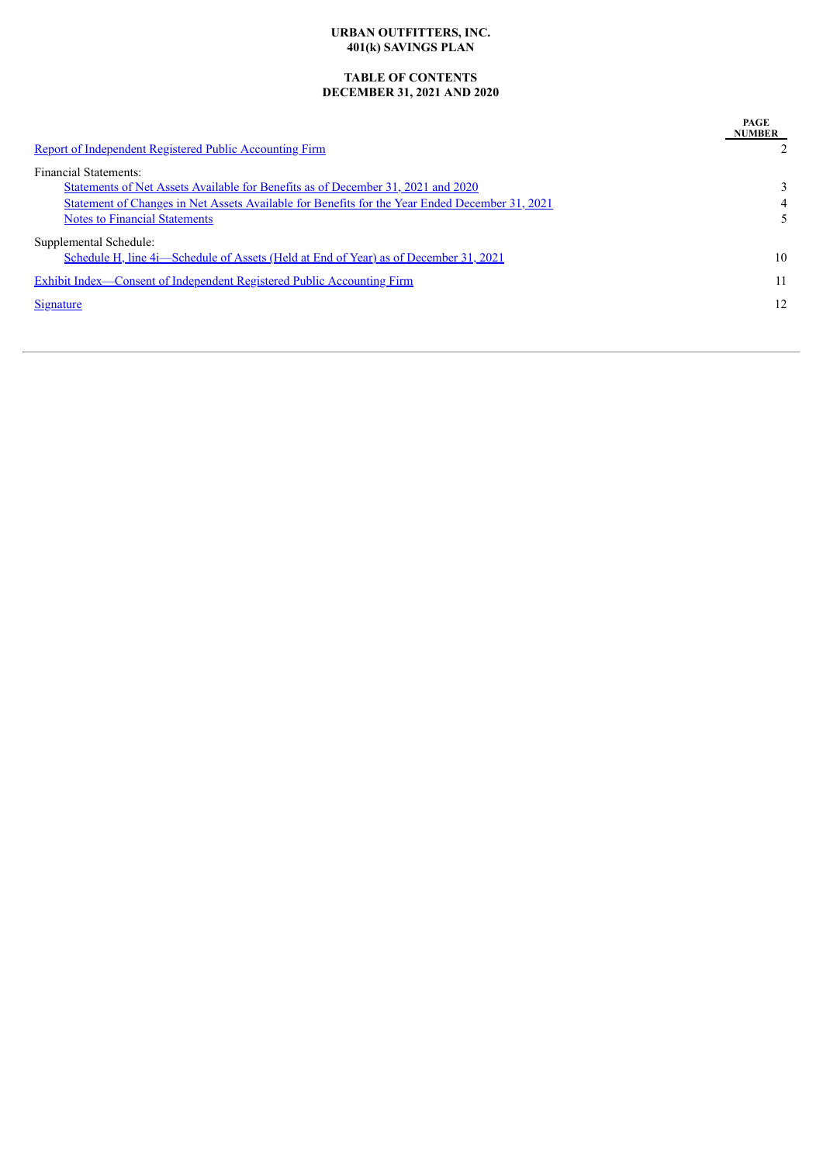# **TABLE OF CONTENTS DECEMBER 31, 2021 AND 2020**

|                                                                                                | <b>PAGE</b><br><b>NUMBER</b> |
|------------------------------------------------------------------------------------------------|------------------------------|
| Report of Independent Registered Public Accounting Firm                                        |                              |
| Financial Statements:                                                                          |                              |
| Statements of Net Assets Available for Benefits as of December 31, 2021 and 2020               |                              |
| Statement of Changes in Net Assets Available for Benefits for the Year Ended December 31, 2021 |                              |
| <b>Notes to Financial Statements</b>                                                           |                              |
| Supplemental Schedule:                                                                         |                              |
| Schedule H, line 4 Schedule of Assets (Held at End of Year) as of December 31, 2021            | 10                           |
| <b>Exhibit Index—Consent of Independent Registered Public Accounting Firm</b>                  | 11                           |
| Signature                                                                                      | 12                           |
|                                                                                                |                              |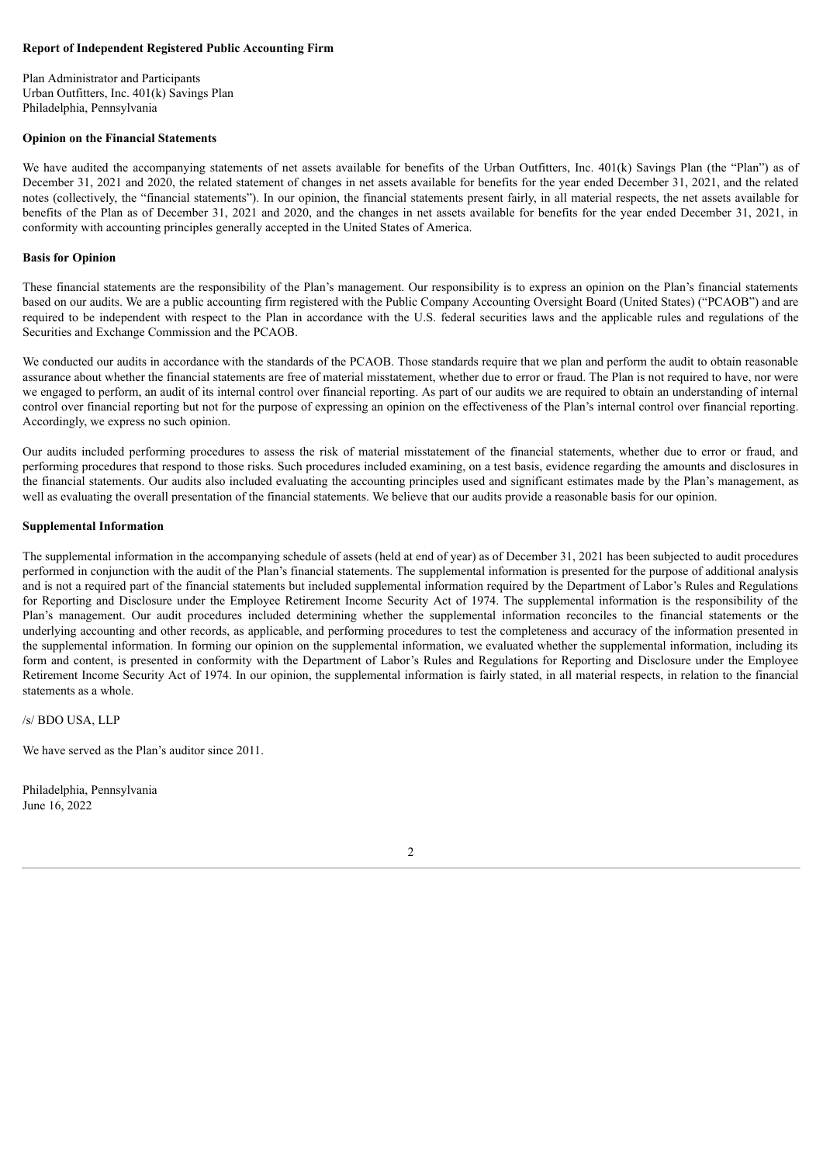# <span id="page-2-0"></span>**Report of Independent Registered Public Accounting Firm**

Plan Administrator and Participants Urban Outfitters, Inc. 401(k) Savings Plan Philadelphia, Pennsylvania

#### **Opinion on the Financial Statements**

We have audited the accompanying statements of net assets available for benefits of the Urban Outfitters, Inc. 401(k) Savings Plan (the "Plan") as of December 31, 2021 and 2020, the related statement of changes in net assets available for benefits for the year ended December 31, 2021, and the related notes (collectively, the "financial statements"). In our opinion, the financial statements present fairly, in all material respects, the net assets available for benefits of the Plan as of December 31, 2021 and 2020, and the changes in net assets available for benefits for the year ended December 31, 2021, in conformity with accounting principles generally accepted in the United States of America.

#### **Basis for Opinion**

These financial statements are the responsibility of the Plan's management. Our responsibility is to express an opinion on the Plan's financial statements based on our audits. We are a public accounting firm registered with the Public Company Accounting Oversight Board (United States) ("PCAOB") and are required to be independent with respect to the Plan in accordance with the U.S. federal securities laws and the applicable rules and regulations of the Securities and Exchange Commission and the PCAOB.

We conducted our audits in accordance with the standards of the PCAOB. Those standards require that we plan and perform the audit to obtain reasonable assurance about whether the financial statements are free of material misstatement, whether due to error or fraud. The Plan is not required to have, nor were we engaged to perform, an audit of its internal control over financial reporting. As part of our audits we are required to obtain an understanding of internal control over financial reporting but not for the purpose of expressing an opinion on the effectiveness of the Plan's internal control over financial reporting. Accordingly, we express no such opinion.

Our audits included performing procedures to assess the risk of material misstatement of the financial statements, whether due to error or fraud, and performing procedures that respond to those risks. Such procedures included examining, on a test basis, evidence regarding the amounts and disclosures in the financial statements. Our audits also included evaluating the accounting principles used and significant estimates made by the Plan's management, as well as evaluating the overall presentation of the financial statements. We believe that our audits provide a reasonable basis for our opinion.

## **Supplemental Information**

The supplemental information in the accompanying schedule of assets (held at end of year) as of December 31, 2021 has been subjected to audit procedures performed in conjunction with the audit of the Plan's financial statements. The supplemental information is presented for the purpose of additional analysis and is not a required part of the financial statements but included supplemental information required by the Department of Labor's Rules and Regulations for Reporting and Disclosure under the Employee Retirement Income Security Act of 1974. The supplemental information is the responsibility of the Plan's management. Our audit procedures included determining whether the supplemental information reconciles to the financial statements or the underlying accounting and other records, as applicable, and performing procedures to test the completeness and accuracy of the information presented in the supplemental information. In forming our opinion on the supplemental information, we evaluated whether the supplemental information, including its form and content, is presented in conformity with the Department of Labor's Rules and Regulations for Reporting and Disclosure under the Employee Retirement Income Security Act of 1974. In our opinion, the supplemental information is fairly stated, in all material respects, in relation to the financial statements as a whole.

# /s/ BDO USA, LLP

We have served as the Plan's auditor since 2011.

Philadelphia, Pennsylvania June 16, 2022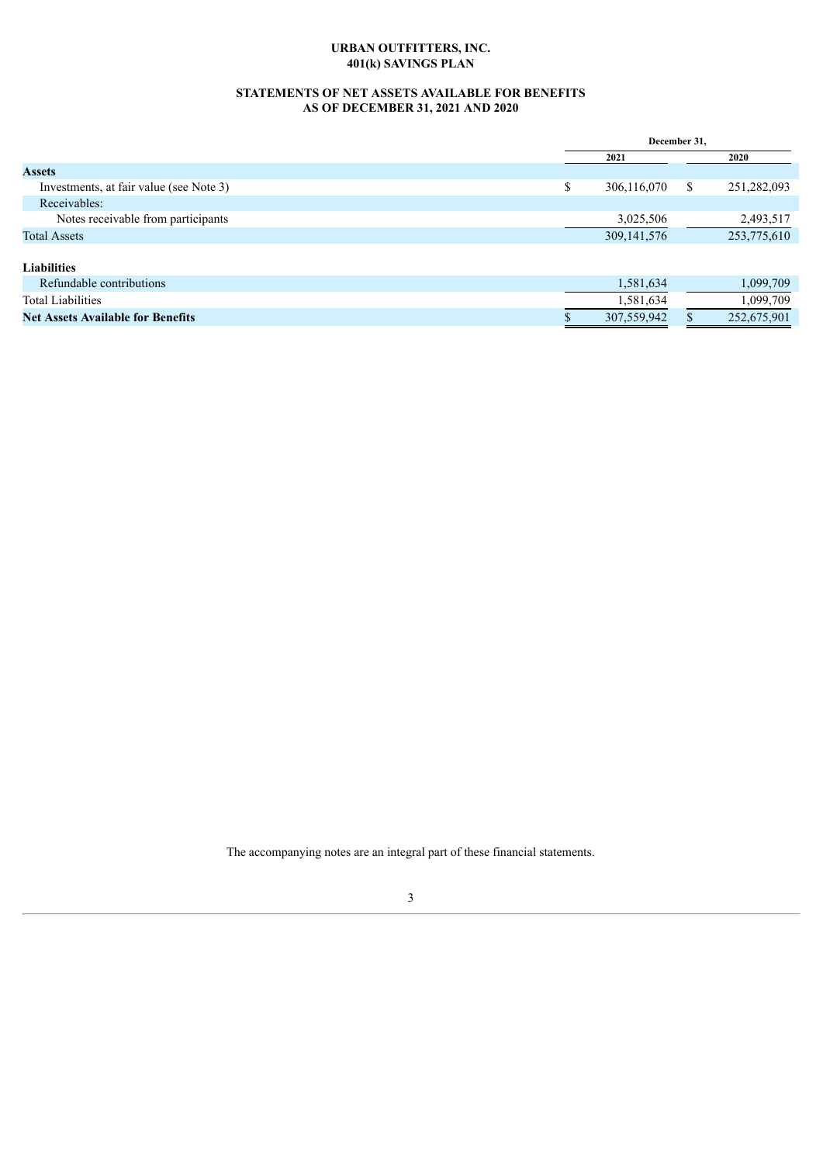## **STATEMENTS OF NET ASSETS AVAILABLE FOR BENEFITS AS OF DECEMBER 31, 2021 AND 2020**

<span id="page-3-0"></span>

|                                          | December 31,      |                   |
|------------------------------------------|-------------------|-------------------|
|                                          | 2021              | 2020              |
| <b>Assets</b>                            |                   |                   |
| Investments, at fair value (see Note 3)  | \$<br>306,116,070 | \$<br>251,282,093 |
| Receivables:                             |                   |                   |
| Notes receivable from participants       | 3,025,506         | 2,493,517         |
| <b>Total Assets</b>                      | 309, 141, 576     | 253,775,610       |
|                                          |                   |                   |
| <b>Liabilities</b>                       |                   |                   |
| Refundable contributions                 | 1,581,634         | 1,099,709         |
| <b>Total Liabilities</b>                 | 1,581,634         | 1,099,709         |
| <b>Net Assets Available for Benefits</b> | 307,559,942       | 252,675,901       |
|                                          |                   |                   |

The accompanying notes are an integral part of these financial statements.

# 3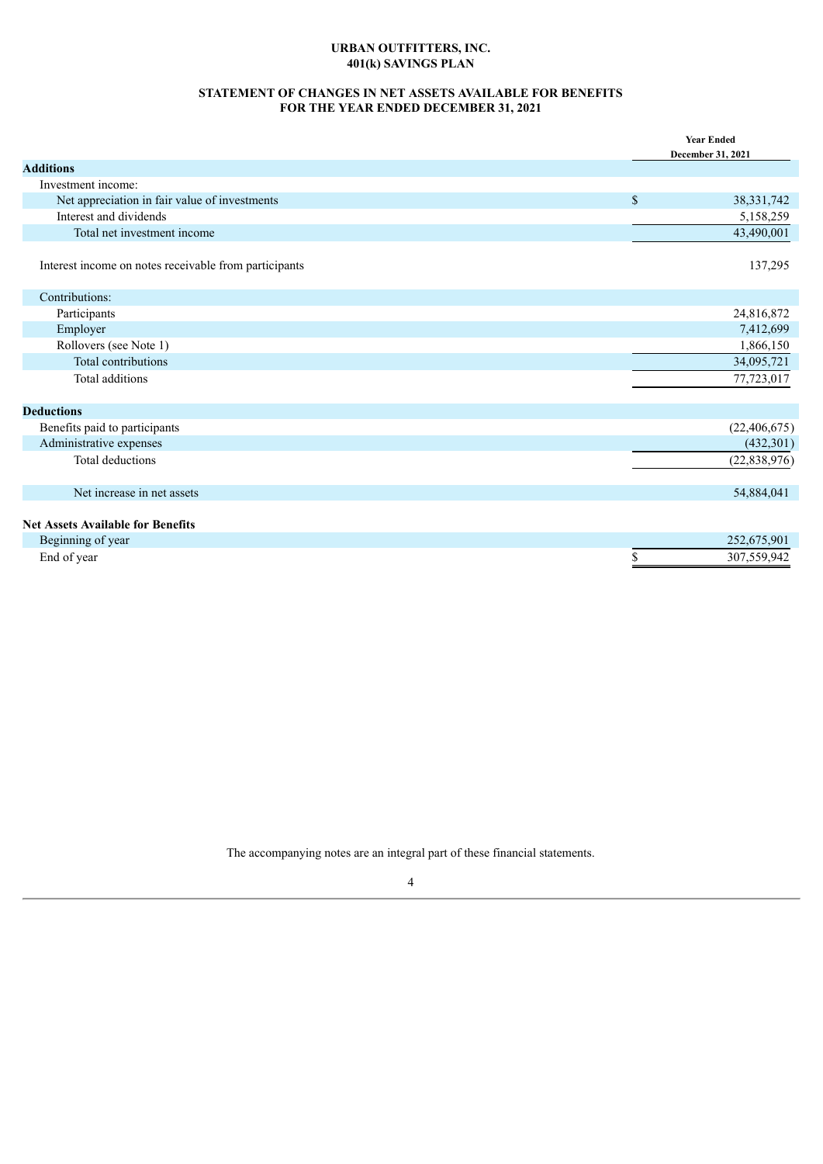### **STATEMENT OF CHANGES IN NET ASSETS AVAILABLE FOR BENEFITS FOR THE YEAR ENDED DECEMBER 31, 2021**

<span id="page-4-0"></span>

|                                                       | <b>Year Ended</b>  |
|-------------------------------------------------------|--------------------|
| <b>Additions</b>                                      | December 31, 2021  |
| Investment income:                                    |                    |
| Net appreciation in fair value of investments         | \$<br>38, 331, 742 |
| Interest and dividends                                | 5,158,259          |
| Total net investment income                           | 43,490,001         |
| Interest income on notes receivable from participants | 137,295            |
| Contributions:                                        |                    |
| Participants                                          | 24,816,872         |
| Employer                                              | 7,412,699          |
| Rollovers (see Note 1)                                | 1,866,150          |
| Total contributions                                   | 34,095,721         |
| Total additions                                       | 77,723,017         |
| <b>Deductions</b>                                     |                    |
| Benefits paid to participants                         | (22, 406, 675)     |
| Administrative expenses                               | (432, 301)         |
| <b>Total deductions</b>                               | (22, 838, 976)     |
| Net increase in net assets                            | 54,884,041         |
| <b>Net Assets Available for Benefits</b>              |                    |
| Beginning of year                                     | 252,675,901        |
| End of year                                           | \$<br>307,559,942  |

The accompanying notes are an integral part of these financial statements.

4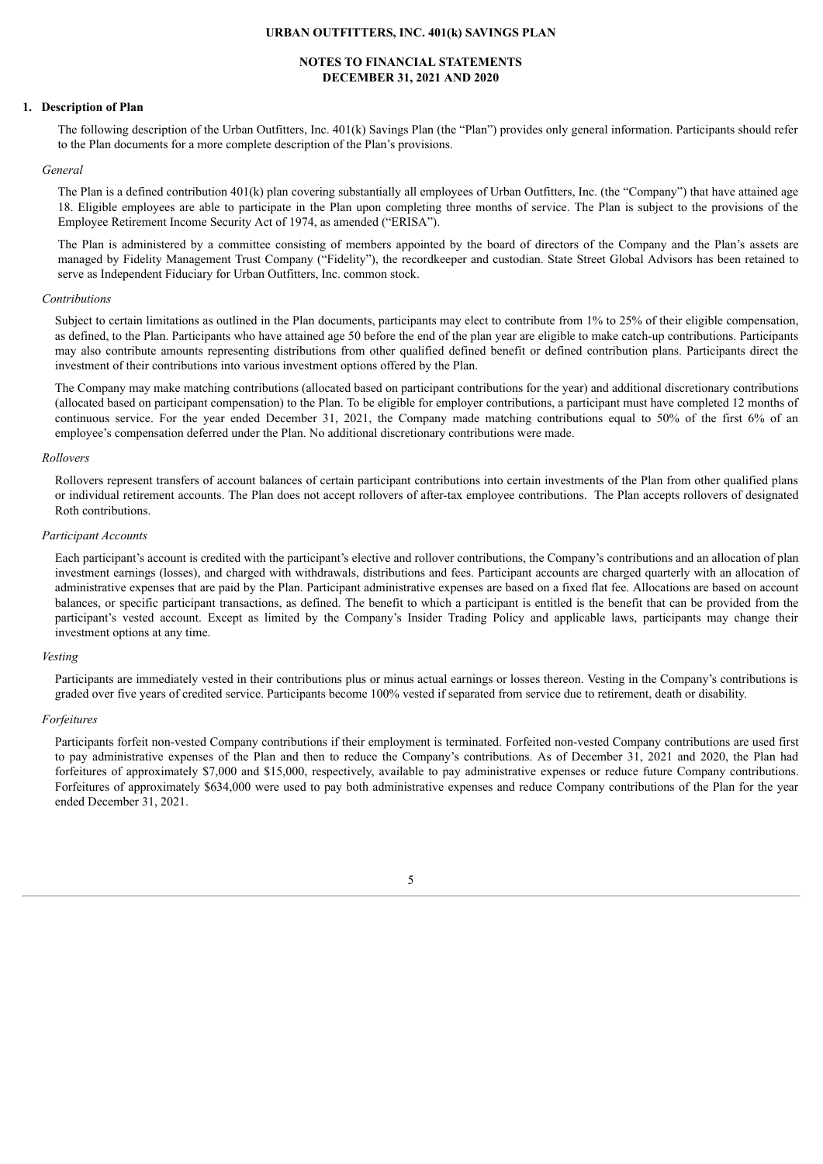# **NOTES TO FINANCIAL STATEMENTS DECEMBER 31, 2021 AND 2020**

#### <span id="page-5-0"></span>**1. Description of Plan**

The following description of the Urban Outfitters, Inc. 401(k) Savings Plan (the "Plan") provides only general information. Participants should refer to the Plan documents for a more complete description of the Plan's provisions.

#### *General*

The Plan is a defined contribution 401(k) plan covering substantially all employees of Urban Outfitters, Inc. (the "Company") that have attained age 18. Eligible employees are able to participate in the Plan upon completing three months of service. The Plan is subject to the provisions of the Employee Retirement Income Security Act of 1974, as amended ("ERISA").

The Plan is administered by a committee consisting of members appointed by the board of directors of the Company and the Plan's assets are managed by Fidelity Management Trust Company ("Fidelity"), the recordkeeper and custodian. State Street Global Advisors has been retained to serve as Independent Fiduciary for Urban Outfitters, Inc. common stock.

### *Contributions*

Subject to certain limitations as outlined in the Plan documents, participants may elect to contribute from 1% to 25% of their eligible compensation, as defined, to the Plan. Participants who have attained age 50 before the end of the plan year are eligible to make catch-up contributions. Participants may also contribute amounts representing distributions from other qualified defined benefit or defined contribution plans. Participants direct the investment of their contributions into various investment options offered by the Plan.

The Company may make matching contributions (allocated based on participant contributions for the year) and additional discretionary contributions (allocated based on participant compensation) to the Plan. To be eligible for employer contributions, a participant must have completed 12 months of continuous service. For the year ended December 31, 2021, the Company made matching contributions equal to 50% of the first 6% of an employee's compensation deferred under the Plan. No additional discretionary contributions were made.

#### *Rollovers*

Rollovers represent transfers of account balances of certain participant contributions into certain investments of the Plan from other qualified plans or individual retirement accounts. The Plan does not accept rollovers of after-tax employee contributions. The Plan accepts rollovers of designated Roth contributions.

# *Participant Accounts*

Each participant's account is credited with the participant's elective and rollover contributions, the Company's contributions and an allocation of plan investment earnings (losses), and charged with withdrawals, distributions and fees. Participant accounts are charged quarterly with an allocation of administrative expenses that are paid by the Plan. Participant administrative expenses are based on a fixed flat fee. Allocations are based on account balances, or specific participant transactions, as defined. The benefit to which a participant is entitled is the benefit that can be provided from the participant's vested account. Except as limited by the Company's Insider Trading Policy and applicable laws, participants may change their investment options at any time.

#### *Vesting*

Participants are immediately vested in their contributions plus or minus actual earnings or losses thereon. Vesting in the Company's contributions is graded over five years of credited service. Participants become 100% vested if separated from service due to retirement, death or disability.

#### *Forfeitures*

Participants forfeit non-vested Company contributions if their employment is terminated. Forfeited non-vested Company contributions are used first to pay administrative expenses of the Plan and then to reduce the Company's contributions. As of December 31, 2021 and 2020, the Plan had forfeitures of approximately \$7,000 and \$15,000, respectively, available to pay administrative expenses or reduce future Company contributions. Forfeitures of approximately \$634,000 were used to pay both administrative expenses and reduce Company contributions of the Plan for the year ended December 31, 2021.

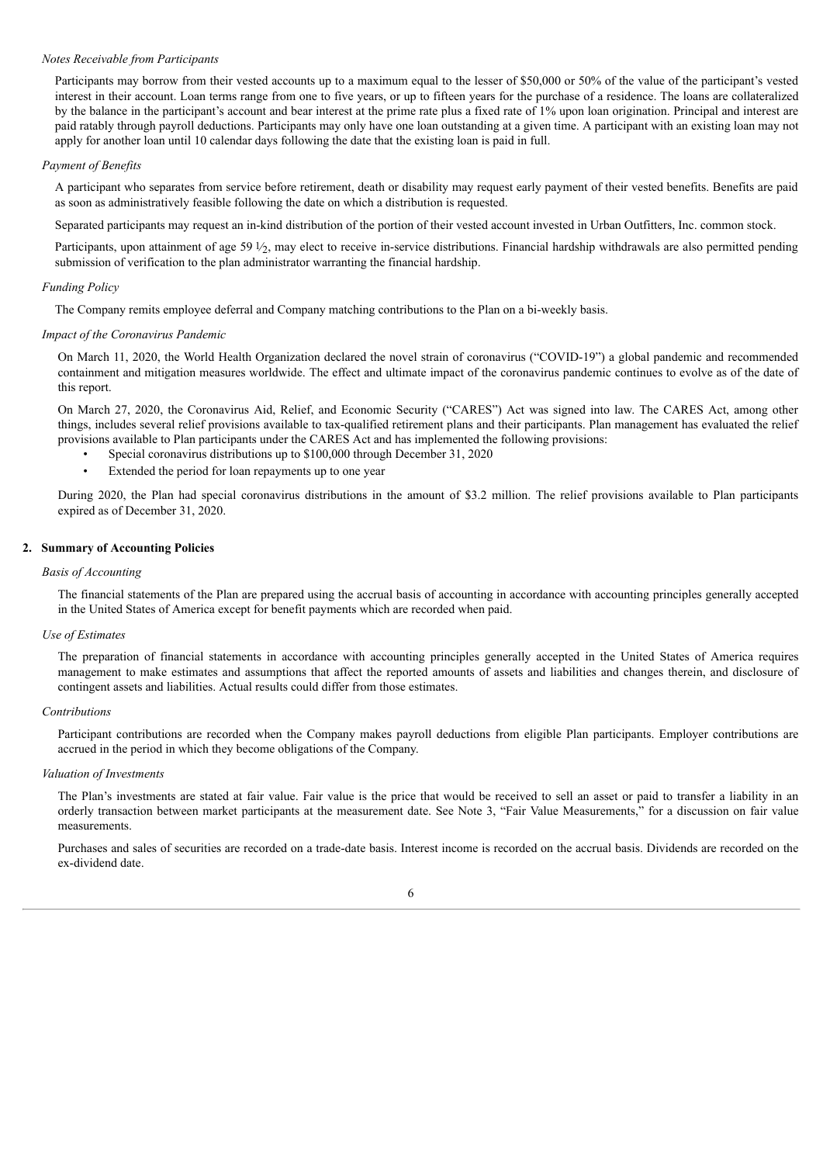# *Notes Receivable from Participants*

Participants may borrow from their vested accounts up to a maximum equal to the lesser of \$50,000 or 50% of the value of the participant's vested interest in their account. Loan terms range from one to five years, or up to fifteen years for the purchase of a residence. The loans are collateralized by the balance in the participant's account and bear interest at the prime rate plus a fixed rate of 1% upon loan origination. Principal and interest are paid ratably through payroll deductions. Participants may only have one loan outstanding at a given time. A participant with an existing loan may not apply for another loan until 10 calendar days following the date that the existing loan is paid in full.

## *Payment of Benefits*

A participant who separates from service before retirement, death or disability may request early payment of their vested benefits. Benefits are paid as soon as administratively feasible following the date on which a distribution is requested.

Separated participants may request an in-kind distribution of the portion of their vested account invested in Urban Outfitters, Inc. common stock.

Participants, upon attainment of age 59  $\frac{1}{2}$ , may elect to receive in-service distributions. Financial hardship withdrawals are also permitted pending submission of verification to the plan administrator warranting the financial hardship.

#### *Funding Policy*

The Company remits employee deferral and Company matching contributions to the Plan on a bi-weekly basis.

#### *Impact of the Coronavirus Pandemic*

On March 11, 2020, the World Health Organization declared the novel strain of coronavirus ("COVID-19") a global pandemic and recommended containment and mitigation measures worldwide. The effect and ultimate impact of the coronavirus pandemic continues to evolve as of the date of this report.

On March 27, 2020, the Coronavirus Aid, Relief, and Economic Security ("CARES") Act was signed into law. The CARES Act, among other things, includes several relief provisions available to tax-qualified retirement plans and their participants. Plan management has evaluated the relief provisions available to Plan participants under the CARES Act and has implemented the following provisions:

- Special coronavirus distributions up to \$100,000 through December 31, 2020
- Extended the period for loan repayments up to one year

During 2020, the Plan had special coronavirus distributions in the amount of \$3.2 million. The relief provisions available to Plan participants expired as of December 31, 2020.

## **2. Summary of Accounting Policies**

#### *Basis of Accounting*

The financial statements of the Plan are prepared using the accrual basis of accounting in accordance with accounting principles generally accepted in the United States of America except for benefit payments which are recorded when paid.

#### *Use of Estimates*

The preparation of financial statements in accordance with accounting principles generally accepted in the United States of America requires management to make estimates and assumptions that affect the reported amounts of assets and liabilities and changes therein, and disclosure of contingent assets and liabilities. Actual results could differ from those estimates.

#### *Contributions*

Participant contributions are recorded when the Company makes payroll deductions from eligible Plan participants. Employer contributions are accrued in the period in which they become obligations of the Company.

#### *Valuation of Investments*

The Plan's investments are stated at fair value. Fair value is the price that would be received to sell an asset or paid to transfer a liability in an orderly transaction between market participants at the measurement date. See Note 3, "Fair Value Measurements," for a discussion on fair value measurements.

Purchases and sales of securities are recorded on a trade-date basis. Interest income is recorded on the accrual basis. Dividends are recorded on the ex-dividend date.

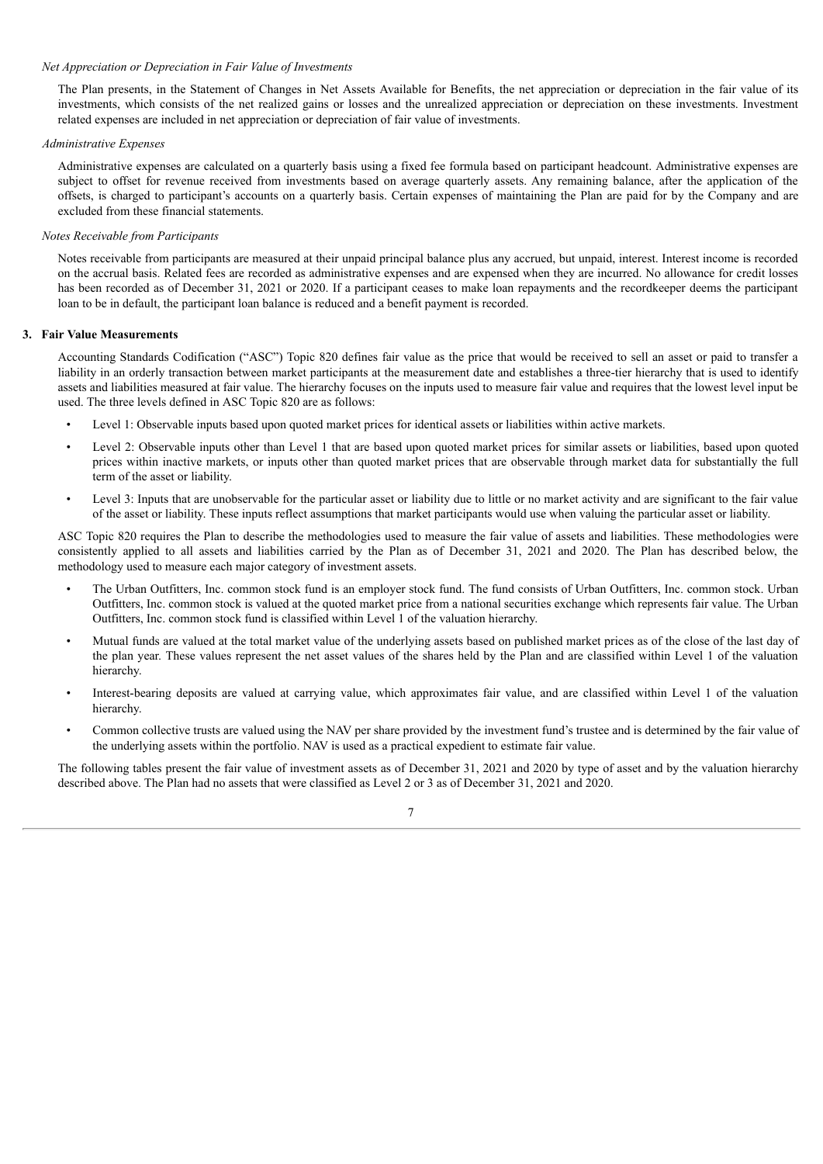### *Net Appreciation or Depreciation in Fair Value of Investments*

The Plan presents, in the Statement of Changes in Net Assets Available for Benefits, the net appreciation or depreciation in the fair value of its investments, which consists of the net realized gains or losses and the unrealized appreciation or depreciation on these investments. Investment related expenses are included in net appreciation or depreciation of fair value of investments.

# *Administrative Expenses*

Administrative expenses are calculated on a quarterly basis using a fixed fee formula based on participant headcount. Administrative expenses are subject to offset for revenue received from investments based on average quarterly assets. Any remaining balance, after the application of the offsets, is charged to participant's accounts on a quarterly basis. Certain expenses of maintaining the Plan are paid for by the Company and are excluded from these financial statements.

# *Notes Receivable from Participants*

Notes receivable from participants are measured at their unpaid principal balance plus any accrued, but unpaid, interest. Interest income is recorded on the accrual basis. Related fees are recorded as administrative expenses and are expensed when they are incurred. No allowance for credit losses has been recorded as of December 31, 2021 or 2020. If a participant ceases to make loan repayments and the recordkeeper deems the participant loan to be in default, the participant loan balance is reduced and a benefit payment is recorded.

## **3. Fair Value Measurements**

Accounting Standards Codification ("ASC") Topic 820 defines fair value as the price that would be received to sell an asset or paid to transfer a liability in an orderly transaction between market participants at the measurement date and establishes a three-tier hierarchy that is used to identify assets and liabilities measured at fair value. The hierarchy focuses on the inputs used to measure fair value and requires that the lowest level input be used. The three levels defined in ASC Topic 820 are as follows:

- Level 1: Observable inputs based upon quoted market prices for identical assets or liabilities within active markets.
- Level 2: Observable inputs other than Level 1 that are based upon quoted market prices for similar assets or liabilities, based upon quoted prices within inactive markets, or inputs other than quoted market prices that are observable through market data for substantially the full term of the asset or liability.
- Level 3: Inputs that are unobservable for the particular asset or liability due to little or no market activity and are significant to the fair value of the asset or liability. These inputs reflect assumptions that market participants would use when valuing the particular asset or liability.

ASC Topic 820 requires the Plan to describe the methodologies used to measure the fair value of assets and liabilities. These methodologies were consistently applied to all assets and liabilities carried by the Plan as of December 31, 2021 and 2020. The Plan has described below, the methodology used to measure each major category of investment assets.

- The Urban Outfitters, Inc. common stock fund is an employer stock fund. The fund consists of Urban Outfitters, Inc. common stock. Urban Outfitters, Inc. common stock is valued at the quoted market price from a national securities exchange which represents fair value. The Urban Outfitters, Inc. common stock fund is classified within Level 1 of the valuation hierarchy.
- Mutual funds are valued at the total market value of the underlying assets based on published market prices as of the close of the last day of the plan year. These values represent the net asset values of the shares held by the Plan and are classified within Level 1 of the valuation hierarchy.
- Interest-bearing deposits are valued at carrying value, which approximates fair value, and are classified within Level 1 of the valuation hierarchy.
- Common collective trusts are valued using the NAV per share provided by the investment fund's trustee and is determined by the fair value of the underlying assets within the portfolio. NAV is used as a practical expedient to estimate fair value.

The following tables present the fair value of investment assets as of December 31, 2021 and 2020 by type of asset and by the valuation hierarchy described above. The Plan had no assets that were classified as Level 2 or 3 as of December 31, 2021 and 2020.

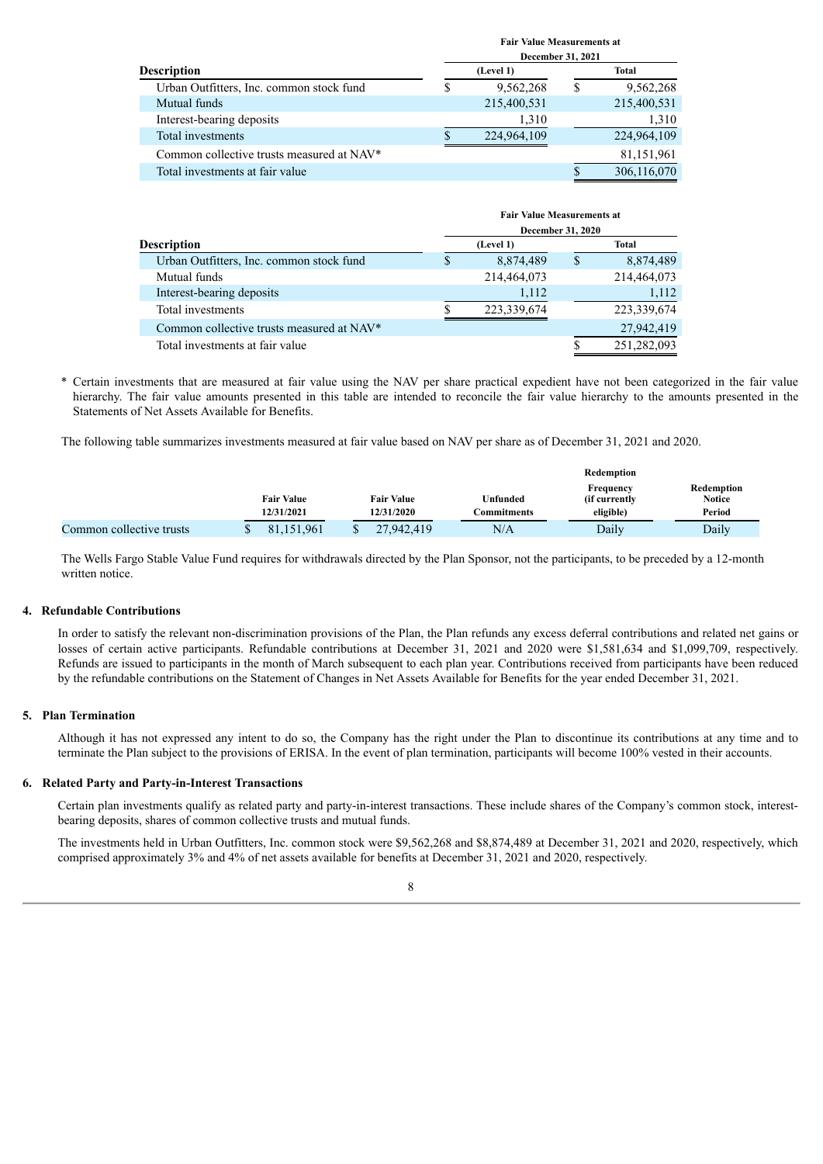|                                           | <b>Fair Value Measurements at</b> |   |             |
|-------------------------------------------|-----------------------------------|---|-------------|
|                                           | December 31, 2021                 |   |             |
| <b>Description</b>                        | (Level 1)                         |   | Total       |
| Urban Outfitters, Inc. common stock fund  | \$<br>9,562,268                   | S | 9,562,268   |
| Mutual funds                              | 215,400,531                       |   | 215,400,531 |
| Interest-bearing deposits                 | 1,310                             |   | 1,310       |
| Total investments                         | 224,964,109                       |   | 224,964,109 |
| Common collective trusts measured at NAV* |                                   |   | 81,151,961  |
| Total investments at fair value           |                                   |   | 306,116,070 |

|                                           | <b>Fair Value Measurements at</b><br>December 31, 2020 |             |   |             |
|-------------------------------------------|--------------------------------------------------------|-------------|---|-------------|
| <b>Description</b>                        |                                                        | (Level 1)   |   | Total       |
| Urban Outfitters, Inc. common stock fund  | \$                                                     | 8,874,489   | S | 8,874,489   |
| Mutual funds                              |                                                        | 214,464,073 |   | 214,464,073 |
| Interest-bearing deposits                 |                                                        | 1,112       |   | 1,112       |
| Total investments                         |                                                        | 223,339,674 |   | 223,339,674 |
| Common collective trusts measured at NAV* |                                                        |             |   | 27,942,419  |
| Total investments at fair value           |                                                        |             | S | 251,282,093 |

\* Certain investments that are measured at fair value using the NAV per share practical expedient have not been categorized in the fair value hierarchy. The fair value amounts presented in this table are intended to reconcile the fair value hierarchy to the amounts presented in the Statements of Net Assets Available for Benefits.

The following table summarizes investments measured at fair value based on NAV per share as of December 31, 2021 and 2020.

|                          |                                 |                                 |                         | Redemption                                      |                                       |
|--------------------------|---------------------------------|---------------------------------|-------------------------|-------------------------------------------------|---------------------------------------|
|                          | <b>Fair Value</b><br>12/31/2021 | <b>Fair Value</b><br>12/31/2020 | Unfunded<br>Commitments | Frequency<br><i>(if currently)</i><br>eligible) | Redemption<br><b>Notice</b><br>Period |
| Common collective trusts | .151.961<br>8 <sub>1</sub>      | ,942,419<br>າາ                  | N/A                     | Daily                                           | Daily                                 |

The Wells Fargo Stable Value Fund requires for withdrawals directed by the Plan Sponsor, not the participants, to be preceded by a 12-month written notice.

#### **4. Refundable Contributions**

In order to satisfy the relevant non-discrimination provisions of the Plan, the Plan refunds any excess deferral contributions and related net gains or losses of certain active participants. Refundable contributions at December 31, 2021 and 2020 were \$1,581,634 and \$1,099,709, respectively. Refunds are issued to participants in the month of March subsequent to each plan year. Contributions received from participants have been reduced by the refundable contributions on the Statement of Changes in Net Assets Available for Benefits for the year ended December 31, 2021.

# **5. Plan Termination**

Although it has not expressed any intent to do so, the Company has the right under the Plan to discontinue its contributions at any time and to terminate the Plan subject to the provisions of ERISA. In the event of plan termination, participants will become 100% vested in their accounts.

#### **6. Related Party and Party-in-Interest Transactions**

Certain plan investments qualify as related party and party-in-interest transactions. These include shares of the Company's common stock, interestbearing deposits, shares of common collective trusts and mutual funds.

The investments held in Urban Outfitters, Inc. common stock were \$9,562,268 and \$8,874,489 at December 31, 2021 and 2020, respectively, which comprised approximately 3% and 4% of net assets available for benefits at December 31, 2021 and 2020, respectively.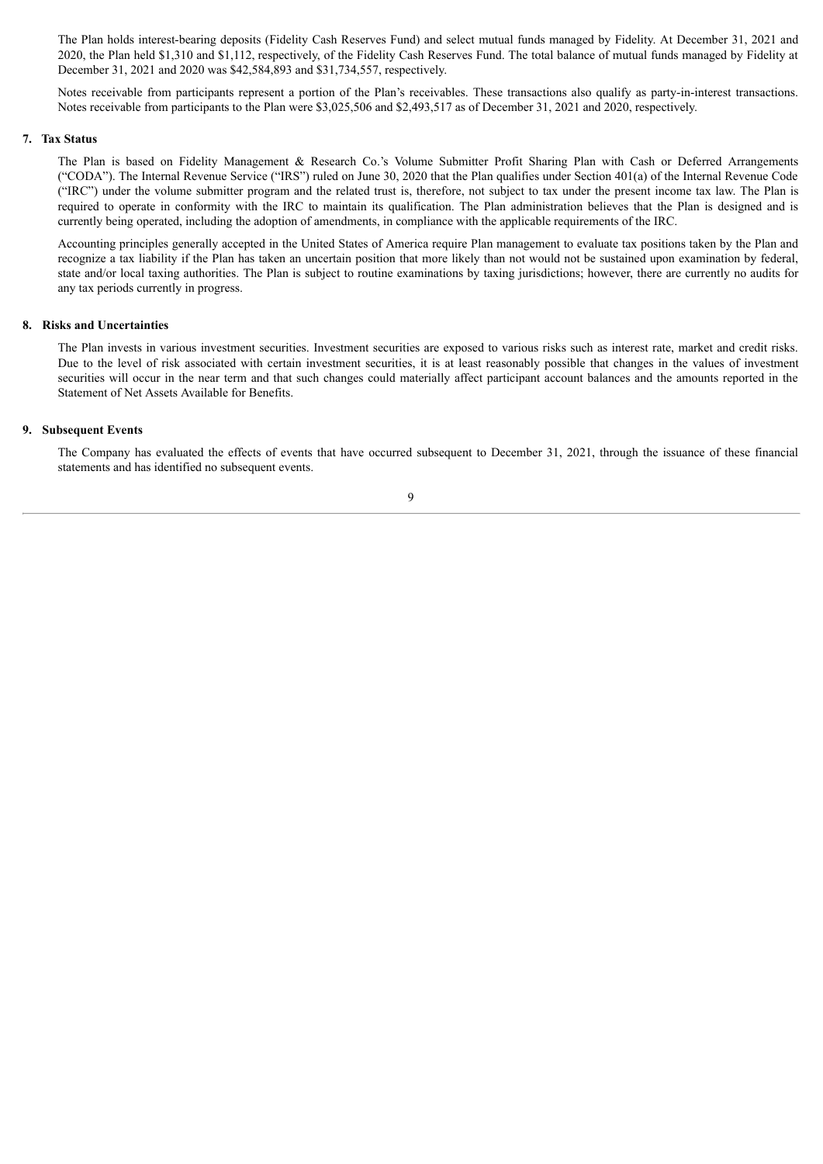The Plan holds interest-bearing deposits (Fidelity Cash Reserves Fund) and select mutual funds managed by Fidelity. At December 31, 2021 and 2020, the Plan held \$1,310 and \$1,112, respectively, of the Fidelity Cash Reserves Fund. The total balance of mutual funds managed by Fidelity at December 31, 2021 and 2020 was \$42,584,893 and \$31,734,557, respectively.

Notes receivable from participants represent a portion of the Plan's receivables. These transactions also qualify as party-in-interest transactions. Notes receivable from participants to the Plan were \$3,025,506 and \$2,493,517 as of December 31, 2021 and 2020, respectively.

#### **7. Tax Status**

The Plan is based on Fidelity Management & Research Co.'s Volume Submitter Profit Sharing Plan with Cash or Deferred Arrangements ("CODA"). The Internal Revenue Service ("IRS") ruled on June 30, 2020 that the Plan qualifies under Section 401(a) of the Internal Revenue Code ("IRC") under the volume submitter program and the related trust is, therefore, not subject to tax under the present income tax law. The Plan is required to operate in conformity with the IRC to maintain its qualification. The Plan administration believes that the Plan is designed and is currently being operated, including the adoption of amendments, in compliance with the applicable requirements of the IRC.

Accounting principles generally accepted in the United States of America require Plan management to evaluate tax positions taken by the Plan and recognize a tax liability if the Plan has taken an uncertain position that more likely than not would not be sustained upon examination by federal, state and/or local taxing authorities. The Plan is subject to routine examinations by taxing jurisdictions; however, there are currently no audits for any tax periods currently in progress.

# **8. Risks and Uncertainties**

The Plan invests in various investment securities. Investment securities are exposed to various risks such as interest rate, market and credit risks. Due to the level of risk associated with certain investment securities, it is at least reasonably possible that changes in the values of investment securities will occur in the near term and that such changes could materially affect participant account balances and the amounts reported in the Statement of Net Assets Available for Benefits.

### **9. Subsequent Events**

The Company has evaluated the effects of events that have occurred subsequent to December 31, 2021, through the issuance of these financial statements and has identified no subsequent events.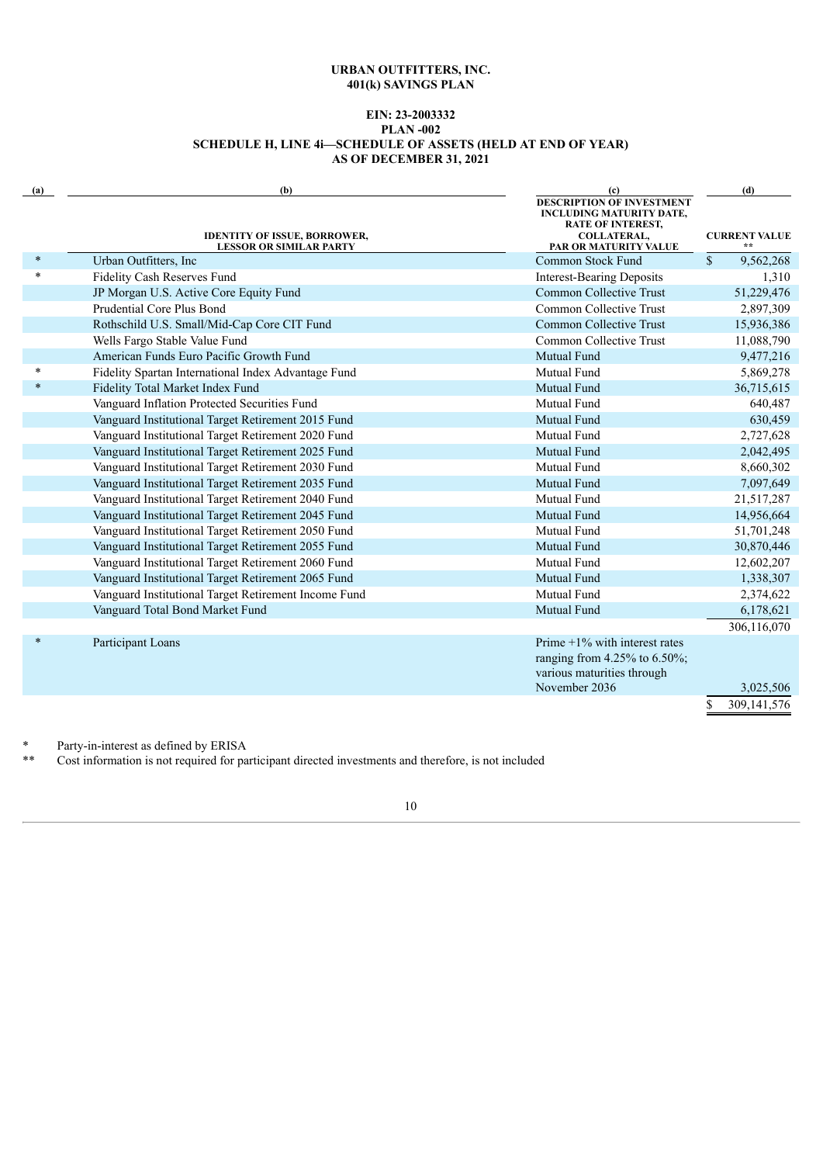# **EIN: 23-2003332 PLAN -002 SCHEDULE H, LINE 4i—SCHEDULE OF ASSETS (HELD AT END OF YEAR) AS OF DECEMBER 31, 2021**

<span id="page-10-0"></span>

| (a)    | (b)                                                                   | (c)                                                                                                                                     | (d)                             |
|--------|-----------------------------------------------------------------------|-----------------------------------------------------------------------------------------------------------------------------------------|---------------------------------|
|        | <b>IDENTITY OF ISSUE, BORROWER,</b><br><b>LESSOR OR SIMILAR PARTY</b> | <b>DESCRIPTION OF INVESTMENT</b><br>INCLUDING MATURITY DATE,<br><b>RATE OF INTEREST,</b><br><b>COLLATERAL,</b><br>PAR OR MATURITY VALUE | <b>CURRENT VALUE</b><br>**      |
| $\ast$ | Urban Outfitters, Inc.                                                | Common Stock Fund                                                                                                                       | $\mathbf{\hat{S}}$<br>9,562,268 |
| *      | <b>Fidelity Cash Reserves Fund</b>                                    | <b>Interest-Bearing Deposits</b>                                                                                                        | 1,310                           |
|        | JP Morgan U.S. Active Core Equity Fund                                | Common Collective Trust                                                                                                                 | 51,229,476                      |
|        | Prudential Core Plus Bond                                             | Common Collective Trust                                                                                                                 | 2,897,309                       |
|        | Rothschild U.S. Small/Mid-Cap Core CIT Fund                           | <b>Common Collective Trust</b>                                                                                                          | 15,936,386                      |
|        | Wells Fargo Stable Value Fund                                         | Common Collective Trust                                                                                                                 | 11,088,790                      |
|        | American Funds Euro Pacific Growth Fund                               | <b>Mutual Fund</b>                                                                                                                      | 9,477,216                       |
| $\ast$ | Fidelity Spartan International Index Advantage Fund                   | Mutual Fund                                                                                                                             | 5,869,278                       |
| $\ast$ | Fidelity Total Market Index Fund                                      | <b>Mutual Fund</b>                                                                                                                      | 36,715,615                      |
|        | Vanguard Inflation Protected Securities Fund                          | Mutual Fund                                                                                                                             | 640,487                         |
|        | Vanguard Institutional Target Retirement 2015 Fund                    | <b>Mutual Fund</b>                                                                                                                      | 630,459                         |
|        | Vanguard Institutional Target Retirement 2020 Fund                    | Mutual Fund                                                                                                                             | 2,727,628                       |
|        | Vanguard Institutional Target Retirement 2025 Fund                    | <b>Mutual Fund</b>                                                                                                                      | 2,042,495                       |
|        | Vanguard Institutional Target Retirement 2030 Fund                    | Mutual Fund                                                                                                                             | 8,660,302                       |
|        | Vanguard Institutional Target Retirement 2035 Fund                    | <b>Mutual Fund</b>                                                                                                                      | 7,097,649                       |
|        | Vanguard Institutional Target Retirement 2040 Fund                    | Mutual Fund                                                                                                                             | 21,517,287                      |
|        | Vanguard Institutional Target Retirement 2045 Fund                    | <b>Mutual Fund</b>                                                                                                                      | 14,956,664                      |
|        | Vanguard Institutional Target Retirement 2050 Fund                    | Mutual Fund                                                                                                                             | 51,701,248                      |
|        | Vanguard Institutional Target Retirement 2055 Fund                    | <b>Mutual Fund</b>                                                                                                                      | 30,870,446                      |
|        | Vanguard Institutional Target Retirement 2060 Fund                    | Mutual Fund                                                                                                                             | 12,602,207                      |
|        | Vanguard Institutional Target Retirement 2065 Fund                    | Mutual Fund                                                                                                                             | 1,338,307                       |
|        | Vanguard Institutional Target Retirement Income Fund                  | Mutual Fund                                                                                                                             | 2,374,622                       |
|        | Vanguard Total Bond Market Fund                                       | Mutual Fund                                                                                                                             | 6,178,621                       |
|        |                                                                       |                                                                                                                                         | 306,116,070                     |
| $\ast$ | Participant Loans                                                     | Prime $+1\%$ with interest rates<br>ranging from $4.25\%$ to $6.50\%$ ;<br>various maturities through                                   |                                 |
|        |                                                                       | November 2036                                                                                                                           | 3,025,506                       |
|        |                                                                       |                                                                                                                                         | \$<br>309,141,576               |

\* Party-in-interest as defined by ERISA

\*\* Cost information is not required for participant directed investments and therefore, is not included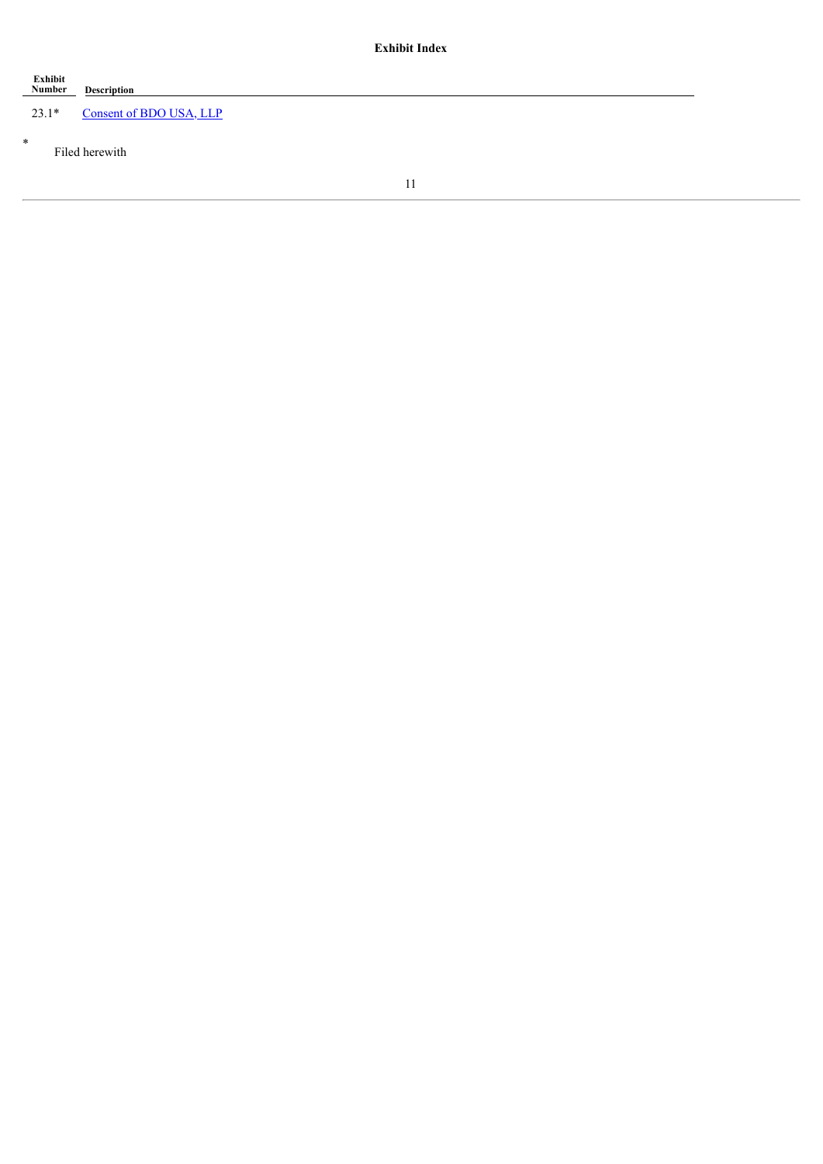<span id="page-11-0"></span>

| $23.1*$<br>Consent of BDO USA, LLP |
|------------------------------------|
|                                    |
| $*$<br>Filed herewith              |
| 11                                 |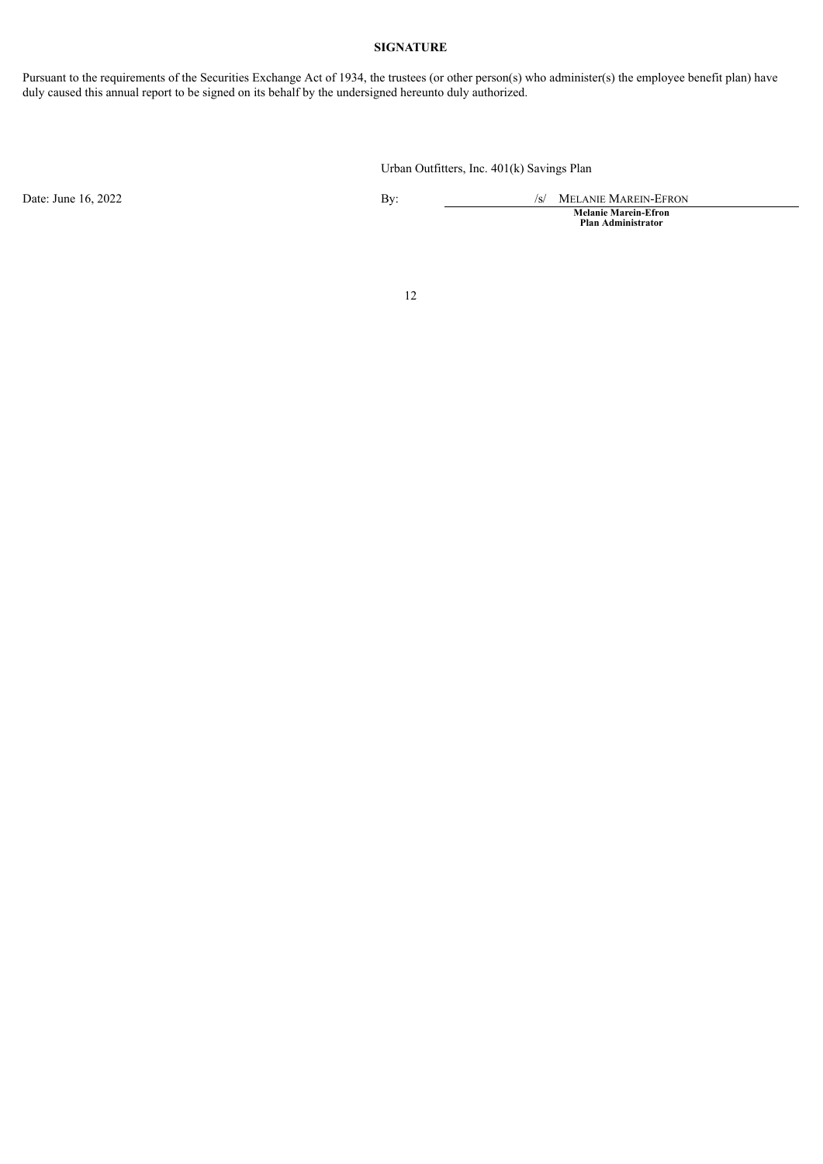# **SIGNATURE**

<span id="page-12-0"></span>Pursuant to the requirements of the Securities Exchange Act of 1934, the trustees (or other person(s) who administer(s) the employee benefit plan) have duly caused this annual report to be signed on its behalf by the undersigned hereunto duly authorized.

Urban Outfitters, Inc. 401(k) Savings Plan

Date: June 16, 2022 **By:** *By: S/ MELANIE MAREIN-EFRON* **Melanie Marein-Efron Plan Administrator**

12